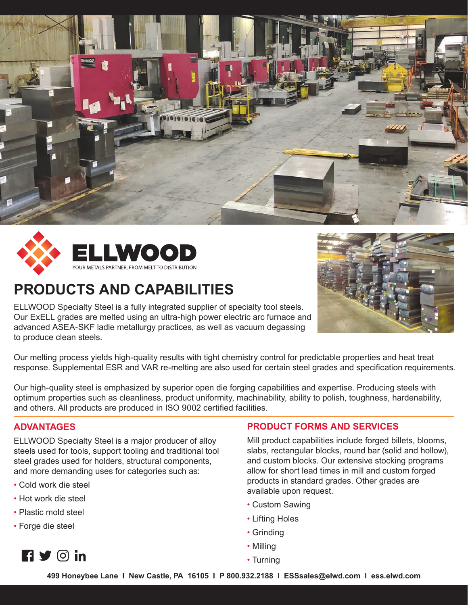



# **PRODUCTS AND CAPABILITIES**

ELLWOOD Specialty Steel is a fully integrated supplier of specialty tool steels. Our ExELL grades are melted using an ultra-high power electric arc furnace and advanced ASEA-SKF ladle metallurgy practices, as well as vacuum degassing to produce clean steels.



Our melting process yields high-quality results with tight chemistry control for predictable properties and heat treat response. Supplemental ESR and VAR re-melting are also used for certain steel grades and specification requirements.

Our high-quality steel is emphasized by superior open die forging capabilities and expertise. Producing steels with optimum properties such as cleanliness, product uniformity, machinability, ability to polish, toughness, hardenability, and others. All products are produced in ISO 9002 certified facilities.

## **ADVANTAGES**

ELLWOOD Specialty Steel is a major producer of alloy steels used for tools, support tooling and traditional tool steel grades used for holders, structural components, and more demanding uses for categories such as:

- Cold work die steel
- Hot work die steel
- Plastic mold steel
- Forge die steel

#### **PRODUCT FORMS AND SERVICES**

Mill product capabilities include forged billets, blooms, slabs, rectangular blocks, round bar (solid and hollow), and custom blocks. Our extensive stocking programs allow for short lead times in mill and custom forged products in standard grades. Other grades are available upon request.

- Custom Sawing
- Lifting Holes
- Grinding
- Milling
- Turning